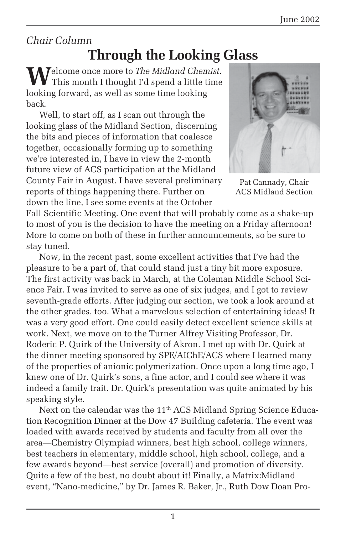## *Chair Column*

# **Through the Looking Glass**

**W**elcome once more to *The Midland Chemist*. This month I thought I'd spend a little time looking forward, as well as some time looking back.

Well, to start off, as I scan out through the looking glass of the Midland Section, discerning the bits and pieces of information that coalesce together, occasionally forming up to something we're interested in, I have in view the 2-month future view of ACS participation at the Midland County Fair in August. I have several preliminary reports of things happening there. Further on down the line, I see some events at the October



Pat Cannady, Chair ACS Midland Section

Fall Scientific Meeting. One event that will probably come as a shake-up to most of you is the decision to have the meeting on a Friday afternoon! More to come on both of these in further announcements, so be sure to stay tuned.

Now, in the recent past, some excellent activities that I've had the pleasure to be a part of, that could stand just a tiny bit more exposure. The first activity was back in March, at the Coleman Middle School Science Fair. I was invited to serve as one of six judges, and I got to review seventh-grade efforts. After judging our section, we took a look around at the other grades, too. What a marvelous selection of entertaining ideas! It was a very good effort. One could easily detect excellent science skills at work. Next, we move on to the Turner Alfrey Visiting Professor, Dr. Roderic P. Quirk of the University of Akron. I met up with Dr. Quirk at the dinner meeting sponsored by SPE/AIChE/ACS where I learned many of the properties of anionic polymerization. Once upon a long time ago, I knew one of Dr. Quirk's sons, a fine actor, and I could see where it was indeed a family trait. Dr. Quirk's presentation was quite animated by his speaking style.

Next on the calendar was the 11<sup>th</sup> ACS Midland Spring Science Education Recognition Dinner at the Dow 47 Building cafeteria. The event was loaded with awards received by students and faculty from all over the area—Chemistry Olympiad winners, best high school, college winners, best teachers in elementary, middle school, high school, college, and a few awards beyond—best service (overall) and promotion of diversity. Quite a few of the best, no doubt about it! Finally, a Matrix:Midland event, "Nano-medicine," by Dr. James R. Baker, Jr., Ruth Dow Doan Pro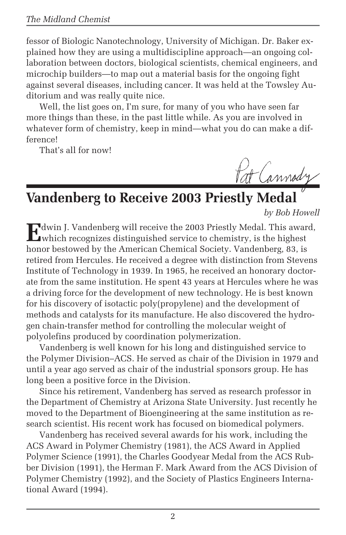fessor of Biologic Nanotechnology, University of Michigan. Dr. Baker explained how they are using a multidiscipline approach—an ongoing collaboration between doctors, biological scientists, chemical engineers, and microchip builders—to map out a material basis for the ongoing fight against several diseases, including cancer. It was held at the Towsley Auditorium and was really quite nice.

Well, the list goes on, I'm sure, for many of you who have seen far more things than these, in the past little while. As you are involved in whatever form of chemistry, keep in mind—what you do can make a difference!

That's all for now!

Pat Cannody

# **Vandenberg to Receive 2003 Priestly Medal**

*by Bob Howell*

**E**dwin J. Vandenberg will receive the 2003 Priestly Medal. This award,  $\Box$  which recognizes distinguished service to chemistry, is the highest honor bestowed by the American Chemical Society. Vandenberg, 83, is retired from Hercules. He received a degree with distinction from Stevens Institute of Technology in 1939. In 1965, he received an honorary doctorate from the same institution. He spent 43 years at Hercules where he was a driving force for the development of new technology. He is best known for his discovery of isotactic poly(propylene) and the development of methods and catalysts for its manufacture. He also discovered the hydrogen chain-transfer method for controlling the molecular weight of polyolefins produced by coordination polymerization.

Vandenberg is well known for his long and distinguished service to the Polymer Division–ACS. He served as chair of the Division in 1979 and until a year ago served as chair of the industrial sponsors group. He has long been a positive force in the Division.

Since his retirement, Vandenberg has served as research professor in the Department of Chemistry at Arizona State University. Just recently he moved to the Department of Bioengineering at the same institution as research scientist. His recent work has focused on biomedical polymers.

Vandenberg has received several awards for his work, including the ACS Award in Polymer Chemistry (1981), the ACS Award in Applied Polymer Science (1991), the Charles Goodyear Medal from the ACS Rubber Division (1991), the Herman F. Mark Award from the ACS Division of Polymer Chemistry (1992), and the Society of Plastics Engineers International Award (1994).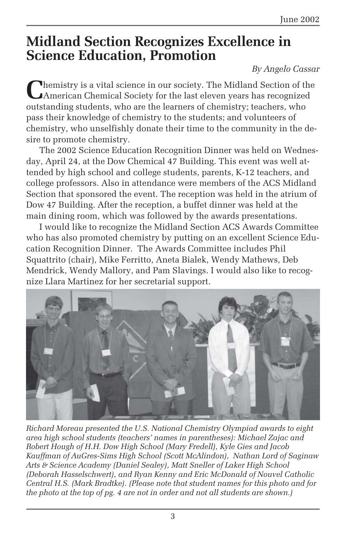# **Midland Section Recognizes Excellence in Science Education, Promotion**

### *By Angelo Cassar*

**C**hemistry is a vital science in our society. The Midland Section of the American Chemical Society for the last eleven years has recognized outstanding students, who are the learners of chemistry; teachers, who pass their knowledge of chemistry to the students; and volunteers of chemistry, who unselfishly donate their time to the community in the desire to promote chemistry.

The 2002 Science Education Recognition Dinner was held on Wednesday, April 24, at the Dow Chemical 47 Building. This event was well attended by high school and college students, parents, K-12 teachers, and college professors. Also in attendance were members of the ACS Midland Section that sponsored the event. The reception was held in the atrium of Dow 47 Building. After the reception, a buffet dinner was held at the main dining room, which was followed by the awards presentations.

I would like to recognize the Midland Section ACS Awards Committee who has also promoted chemistry by putting on an excellent Science Education Recognition Dinner. The Awards Committee includes Phil Squattrito (chair), Mike Ferritto, Aneta Bialek, Wendy Mathews, Deb Mendrick, Wendy Mallory, and Pam Slavings. I would also like to recognize Llara Martinez for her secretarial support.



*Richard Moreau presented the U.S. National Chemistry Olympiad awards to eight area high school students (teachers' names in parentheses): Michael Zajac and Robert Hough of H.H. Dow High School (Mary Fredell), Kyle Gies and Jacob Kauffman of AuGres-Sims High School (Scott McAlindon), Nathan Lord of Saginaw Arts & Science Academy (Daniel Sealey), Matt Sneller of Laker High School (Deborah Hasselschwert), and Ryan Kenny and Eric McDonald of Nouvel Catholic Central H.S. (Mark Bradtke). (Please note that student names for this photo and for the photo at the top of pg. 4 are not in order and not all students are shown.)*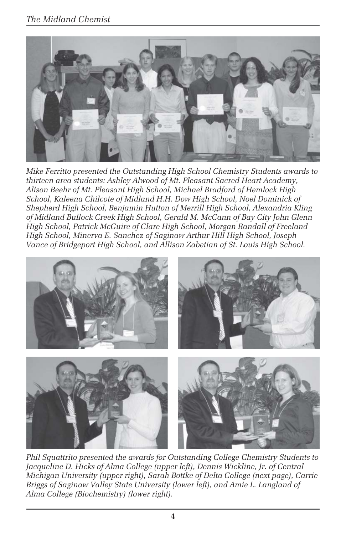### *The Midland Chemist*



*Mike Ferritto presented the Outstanding High School Chemistry Students awards to thirteen area students: Ashley Alwood of Mt. Pleasant Sacred Heart Academy, Alison Beehr of Mt. Pleasant High School, Michael Bradford of Hemlock High School, Kaleena Chilcote of Midland H.H. Dow High School, Noel Dominick of Shepherd High School, Benjamin Hutton of Merrill High School, Alexandria Kling of Midland Bullock Creek High School, Gerald M. McCann of Bay City John Glenn High School, Patrick McGuire of Clare High School, Morgan Randall of Freeland High School, Minerva E. Sanchez of Saginaw Arthur Hill High School, Joseph Vance of Bridgeport High School, and Allison Zabetian of St. Louis High School.*



*Phil Squattrito presented the awards for Outstanding College Chemistry Students to Jacqueline D. Hicks of Alma College (upper left), Dennis Wickline, Jr. of Central Michigan University (upper right), Sarah Bottke of Delta College (next page), Carrie Briggs of Saginaw Valley State University (lower left), and Amie L. Langland of Alma College (Biochemistry) (lower right).*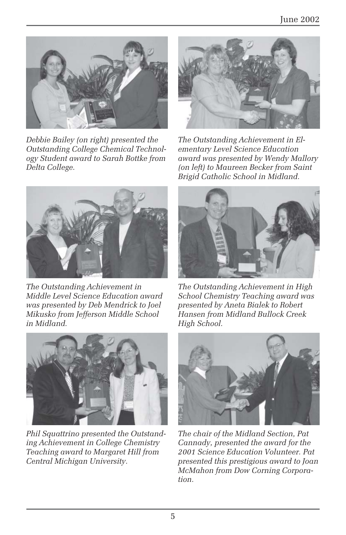

*Debbie Bailey (on right) presented the Outstanding College Chemical Technology Student award to Sarah Bottke from Delta College.*



*The Outstanding Achievement in Middle Level Science Education award was presented by Deb Mendrick to Joel Mikusko from Jefferson Middle School in Midland.*



*Phil Squattrino presented the Outstanding Achievement in College Chemistry Teaching award to Margaret Hill from Central Michigan University.*



*The Outstanding Achievement in Elementary Level Science Education award was presented by Wendy Mallory (on left) to Maureen Becker from Saint Brigid Catholic School in Midland.*



*The Outstanding Achievement in High School Chemistry Teaching award was presented by Aneta Bialek to Robert Hansen from Midland Bullock Creek High School.*



*The chair of the Midland Section, Pat Cannady, presented the award for the 2001 Science Education Volunteer. Pat presented this prestigious award to Joan McMahon from Dow Corning Corporation.*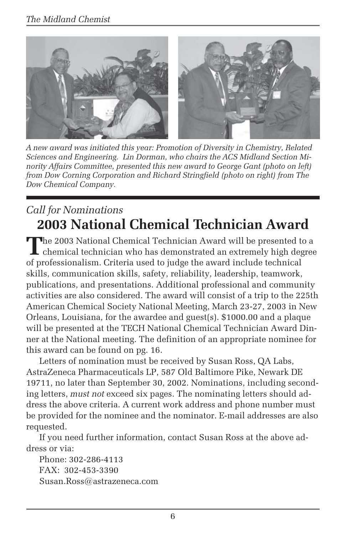

*A new award was initiated this year: Promotion of Diversity in Chemistry, Related Sciences and Engineering. Lin Dorman, who chairs the ACS Midland Section Minority Affairs Committee, presented this new award to George Gant (photo on left) from Dow Corning Corporation and Richard Stringfield (photo on right) from The Dow Chemical Company.*

## *Call for Nominations* **2003 National Chemical Technician Award**

The 2003 National Chemical Technician Award will be presented to a chemical technician who has demonstrated an extremely high degree of professionalism. Criteria used to judge the award include technical skills, communication skills, safety, reliability, leadership, teamwork, publications, and presentations. Additional professional and community activities are also considered. The award will consist of a trip to the 225th American Chemical Society National Meeting, March 23-27, 2003 in New Orleans, Louisiana, for the awardee and guest(s). \$1000.00 and a plaque will be presented at the TECH National Chemical Technician Award Dinner at the National meeting. The definition of an appropriate nominee for this award can be found on pg. 16.

Letters of nomination must be received by Susan Ross, QA Labs, AstraZeneca Pharmaceuticals LP, 587 Old Baltimore Pike, Newark DE 19711, no later than September 30, 2002. Nominations, including seconding letters, *must not* exceed six pages. The nominating letters should address the above criteria. A current work address and phone number must be provided for the nominee and the nominator. E-mail addresses are also requested.

If you need further information, contact Susan Ross at the above address or via:

Phone: 302-286-4113 FAX: 302-453-3390 Susan.Ross@astrazeneca.com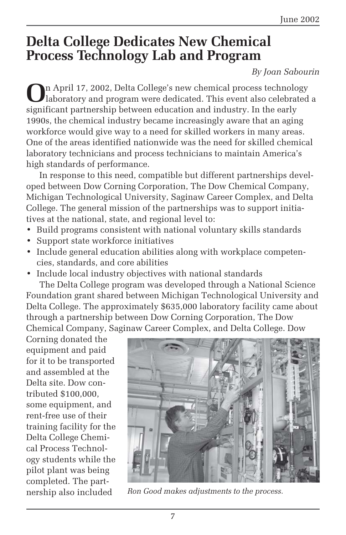# **Delta College Dedicates New Chemical Process Technology Lab and Program**

### *By Joan Sabourin*

**O**n April 17, 2002, Delta College's new chemical process technology laboratory and program were dedicated. This event also celebrated a significant partnership between education and industry. In the early 1990s, the chemical industry became increasingly aware that an aging workforce would give way to a need for skilled workers in many areas. One of the areas identified nationwide was the need for skilled chemical laboratory technicians and process technicians to maintain America's high standards of performance.

In response to this need, compatible but different partnerships developed between Dow Corning Corporation, The Dow Chemical Company, Michigan Technological University, Saginaw Career Complex, and Delta College. The general mission of the partnerships was to support initiatives at the national, state, and regional level to:

- Build programs consistent with national voluntary skills standards
- Support state workforce initiatives
- Include general education abilities along with workplace competencies, standards, and core abilities
- Include local industry objectives with national standards

The Delta College program was developed through a National Science Foundation grant shared between Michigan Technological University and Delta College. The approximately \$635,000 laboratory facility came about through a partnership between Dow Corning Corporation, The Dow Chemical Company, Saginaw Career Complex, and Delta College. Dow

Corning donated the equipment and paid for it to be transported and assembled at the Delta site. Dow contributed \$100,000, some equipment, and rent-free use of their training facility for the Delta College Chemical Process Technology students while the pilot plant was being completed. The part-



nership also included *Ron Good makes adjustments to the process.*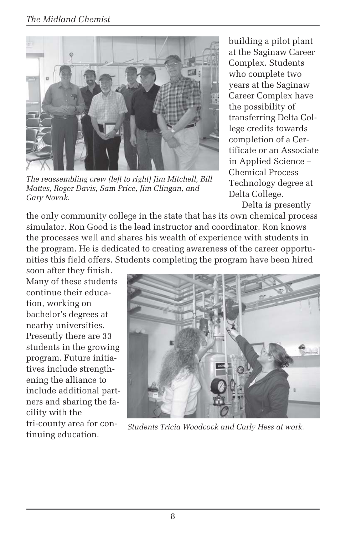

*The reassembling crew (left to right) Jim Mitchell, Bill Mattes, Roger Davis, Sam Price, Jim Clingan, and Gary Novak.*

building a pilot plant at the Saginaw Career Complex. Students who complete two years at the Saginaw Career Complex have the possibility of transferring Delta College credits towards completion of a Certificate or an Associate in Applied Science – Chemical Process Technology degree at Delta College.

Delta is presently the only community college in the state that has its own chemical process simulator. Ron Good is the lead instructor and coordinator. Ron knows the processes well and shares his wealth of experience with students in the program. He is dedicated to creating awareness of the career opportunities this field offers. Students completing the program have been hired

soon after they finish. Many of these students continue their education, working on bachelor's degrees at nearby universities. Presently there are 33 students in the growing program. Future initiatives include strengthening the alliance to include additional partners and sharing the facility with the tri-county area for continuing education.



*Students Tricia Woodcock and Carly Hess at work.*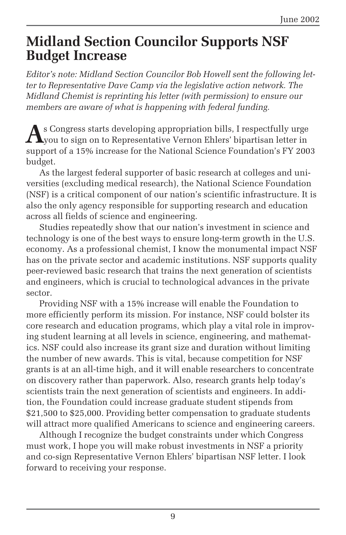## **Midland Section Councilor Supports NSF Budget Increase**

*Editor's note: Midland Section Councilor Bob Howell sent the following letter to Representative Dave Camp via the legislative action network. The Midland Chemist is reprinting his letter (with permission) to ensure our members are aware of what is happening with federal funding.*

As Congress starts developing appropriation bills, I respectfully urge<br>you to sign on to Representative Vernon Ehlers' bipartisan letter in<br>New York of the Second Library of the Wide of the Wide of the Wide of the Wide of support of a 15% increase for the National Science Foundation's FY 2003 budget.

As the largest federal supporter of basic research at colleges and universities (excluding medical research), the National Science Foundation (NSF) is a critical component of our nation's scientific infrastructure. It is also the only agency responsible for supporting research and education across all fields of science and engineering.

Studies repeatedly show that our nation's investment in science and technology is one of the best ways to ensure long-term growth in the U.S. economy. As a professional chemist, I know the monumental impact NSF has on the private sector and academic institutions. NSF supports quality peer-reviewed basic research that trains the next generation of scientists and engineers, which is crucial to technological advances in the private sector.

Providing NSF with a 15% increase will enable the Foundation to more efficiently perform its mission. For instance, NSF could bolster its core research and education programs, which play a vital role in improving student learning at all levels in science, engineering, and mathematics. NSF could also increase its grant size and duration without limiting the number of new awards. This is vital, because competition for NSF grants is at an all-time high, and it will enable researchers to concentrate on discovery rather than paperwork. Also, research grants help today's scientists train the next generation of scientists and engineers. In addition, the Foundation could increase graduate student stipends from \$21,500 to \$25,000. Providing better compensation to graduate students will attract more qualified Americans to science and engineering careers.

Although I recognize the budget constraints under which Congress must work, I hope you will make robust investments in NSF a priority and co-sign Representative Vernon Ehlers' bipartisan NSF letter. I look forward to receiving your response.

9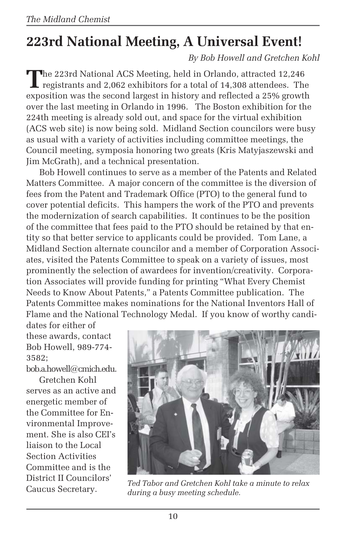# **223rd National Meeting, A Universal Event!**

*By Bob Howell and Gretchen Kohl*

**T**he 223rd National ACS Meeting, held in Orlando, attracted 12,246 **L** registrants and 2,062 exhibitors for a total of 14,308 attendees. The exposition was the second largest in history and reflected a 25% growth over the last meeting in Orlando in 1996. The Boston exhibition for the 224th meeting is already sold out, and space for the virtual exhibition (ACS web site) is now being sold. Midland Section councilors were busy as usual with a variety of activities including committee meetings, the Council meeting, symposia honoring two greats (Kris Matyjaszewski and Jim McGrath), and a technical presentation.

Bob Howell continues to serve as a member of the Patents and Related Matters Committee. A major concern of the committee is the diversion of fees from the Patent and Trademark Office (PTO) to the general fund to cover potential deficits. This hampers the work of the PTO and prevents the modernization of search capabilities. It continues to be the position of the committee that fees paid to the PTO should be retained by that entity so that better service to applicants could be provided. Tom Lane, a Midland Section alternate councilor and a member of Corporation Associates, visited the Patents Committee to speak on a variety of issues, most prominently the selection of awardees for invention/creativity. Corporation Associates will provide funding for printing "What Every Chemist Needs to Know About Patents," a Patents Committee publication. The Patents Committee makes nominations for the National Inventors Hall of Flame and the National Technology Medal. If you know of worthy candi-

dates for either of these awards, contact Bob Howell, 989-774- 3582;

bob.a.howell@cmich.edu.

Gretchen Kohl serves as an active and energetic member of the Committee for Environmental Improvement. She is also CEI's liaison to the Local Section Activities Committee and is the District II Councilors'



Caucus Secretary. *Ted Tabor and Gretchen Kohl take a minute to relax during a busy meeting schedule.*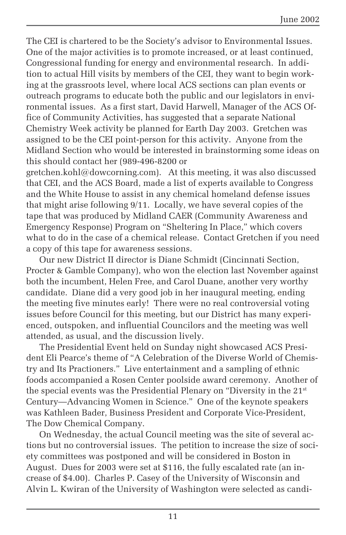The CEI is chartered to be the Society's advisor to Environmental Issues. One of the major activities is to promote increased, or at least continued, Congressional funding for energy and environmental research. In addition to actual Hill visits by members of the CEI, they want to begin working at the grassroots level, where local ACS sections can plan events or outreach programs to educate both the public and our legislators in environmental issues. As a first start, David Harwell, Manager of the ACS Office of Community Activities, has suggested that a separate National Chemistry Week activity be planned for Earth Day 2003. Gretchen was assigned to be the CEI point-person for this activity. Anyone from the Midland Section who would be interested in brainstorming some ideas on this should contact her (989-496-8200 or

gretchen.kohl@dowcorning.com). At this meeting, it was also discussed that CEI, and the ACS Board, made a list of experts available to Congress and the White House to assist in any chemical homeland defense issues that might arise following 9/11. Locally, we have several copies of the tape that was produced by Midland CAER (Community Awareness and Emergency Response) Program on "Sheltering In Place," which covers what to do in the case of a chemical release. Contact Gretchen if you need a copy of this tape for awareness sessions.

Our new District II director is Diane Schmidt (Cincinnati Section, Procter & Gamble Company), who won the election last November against both the incumbent, Helen Free, and Carol Duane, another very worthy candidate. Diane did a very good job in her inaugural meeting, ending the meeting five minutes early! There were no real controversial voting issues before Council for this meeting, but our District has many experienced, outspoken, and influential Councilors and the meeting was well attended, as usual, and the discussion lively.

The Presidential Event held on Sunday night showcased ACS President Eli Pearce's theme of "A Celebration of the Diverse World of Chemistry and Its Practioners." Live entertainment and a sampling of ethnic foods accompanied a Rosen Center poolside award ceremony. Another of the special events was the Presidential Plenary on "Diversity in the 21st Century—Advancing Women in Science." One of the keynote speakers was Kathleen Bader, Business President and Corporate Vice-President, The Dow Chemical Company.

On Wednesday, the actual Council meeting was the site of several actions but no controversial issues. The petition to increase the size of society committees was postponed and will be considered in Boston in August. Dues for 2003 were set at \$116, the fully escalated rate (an increase of \$4.00). Charles P. Casey of the University of Wisconsin and Alvin L. Kwiran of the University of Washington were selected as candi-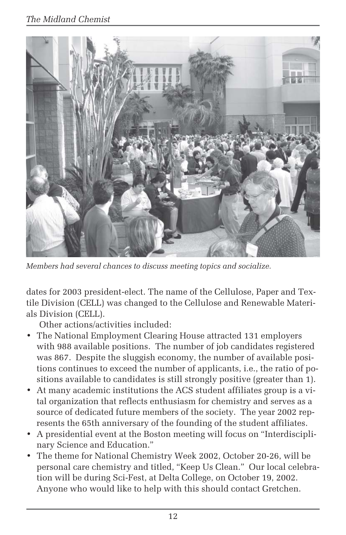

*Members had several chances to discuss meeting topics and socialize.*

dates for 2003 president-elect. The name of the Cellulose, Paper and Textile Division (CELL) was changed to the Cellulose and Renewable Materials Division (CELL).

Other actions/activities included:

- The National Employment Clearing House attracted 131 employers with 988 available positions. The number of job candidates registered was 867. Despite the sluggish economy, the number of available positions continues to exceed the number of applicants, i.e., the ratio of positions available to candidates is still strongly positive (greater than 1).
- At many academic institutions the ACS student affiliates group is a vital organization that reflects enthusiasm for chemistry and serves as a source of dedicated future members of the society. The year 2002 represents the 65th anniversary of the founding of the student affiliates.
- A presidential event at the Boston meeting will focus on "Interdisciplinary Science and Education."
- The theme for National Chemistry Week 2002, October 20-26, will be personal care chemistry and titled, "Keep Us Clean." Our local celebration will be during Sci-Fest, at Delta College, on October 19, 2002. Anyone who would like to help with this should contact Gretchen.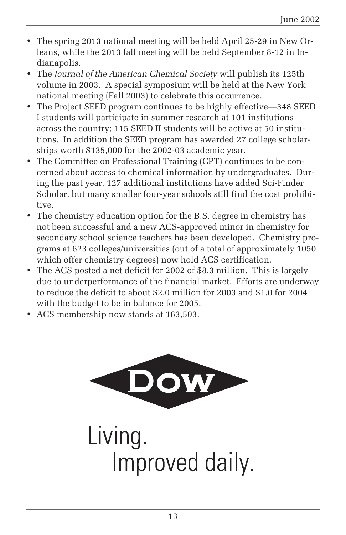- The spring 2013 national meeting will be held April 25-29 in New Orleans, while the 2013 fall meeting will be held September 8-12 in Indianapolis.
- The *Journal of the American Chemical Society* will publish its 125th volume in 2003. A special symposium will be held at the New York national meeting (Fall 2003) to celebrate this occurrence.
- The Project SEED program continues to be highly effective—348 SEED I students will participate in summer research at 101 institutions across the country; 115 SEED II students will be active at 50 institutions. In addition the SEED program has awarded 27 college scholarships worth \$135,000 for the 2002-03 academic year.
- The Committee on Professional Training (CPT) continues to be concerned about access to chemical information by undergraduates. During the past year, 127 additional institutions have added Sci-Finder Scholar, but many smaller four-year schools still find the cost prohibitive.
- The chemistry education option for the B.S. degree in chemistry has not been successful and a new ACS-approved minor in chemistry for secondary school science teachers has been developed. Chemistry programs at 623 colleges/universities (out of a total of approximately 1050 which offer chemistry degrees) now hold ACS certification.
- The ACS posted a net deficit for 2002 of \$8.3 million. This is largely due to underperformance of the financial market. Efforts are underway to reduce the deficit to about \$2.0 million for 2003 and \$1.0 for 2004 with the budget to be in balance for 2005.
- ACS membership now stands at 163,503.

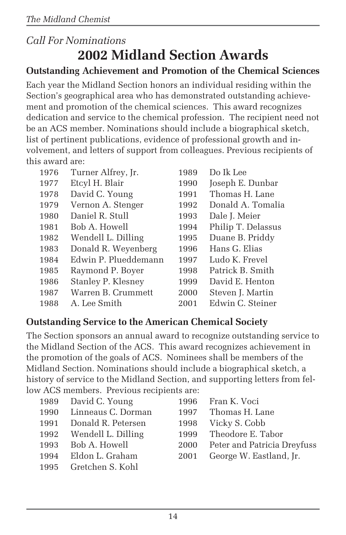## *Call For Nominations* **2002 Midland Section Awards**

### **Outstanding Achievement and Promotion of the Chemical Sciences**

Each year the Midland Section honors an individual residing within the Section's geographical area who has demonstrated outstanding achievement and promotion of the chemical sciences. This award recognizes dedication and service to the chemical profession. The recipient need not be an ACS member. Nominations should include a biographical sketch, list of pertinent publications, evidence of professional growth and involvement, and letters of support from colleagues. Previous recipients of this award are:

| 1976 | Turner Alfrey, Jr.   | 1989 | Do Ik Lee          |
|------|----------------------|------|--------------------|
| 1977 | Etcyl H. Blair       | 1990 | Joseph E. Dunbar   |
| 1978 | David C. Young       | 1991 | Thomas H. Lane     |
| 1979 | Vernon A. Stenger    | 1992 | Donald A. Tomalia  |
| 1980 | Daniel R. Stull      | 1993 | Dale J. Meier      |
| 1981 | Bob A. Howell        | 1994 | Philip T. Delassus |
| 1982 | Wendell L. Dilling   | 1995 | Duane B. Priddy    |
| 1983 | Donald R. Weyenberg  | 1996 | Hans G. Elias      |
| 1984 | Edwin P. Plueddemann | 1997 | Ludo K. Frevel     |
| 1985 | Raymond P. Boyer     | 1998 | Patrick B. Smith   |
| 1986 | Stanley P. Klesney   | 1999 | David E. Henton    |
| 1987 | Warren B. Crummett   | 2000 | Steven J. Martin   |
| 1988 | A. Lee Smith         | 2001 | Edwin C. Steiner   |

### **Outstanding Service to the American Chemical Society**

The Section sponsors an annual award to recognize outstanding service to the Midland Section of the ACS. This award recognizes achievement in the promotion of the goals of ACS. Nominees shall be members of the Midland Section. Nominations should include a biographical sketch, a history of service to the Midland Section, and supporting letters from fellow ACS members. Previous recipients are:

| 1989 David C. Young     |      | 1996 Fran K. Voci                |
|-------------------------|------|----------------------------------|
| 1990 Linneaus C. Dorman |      | 1997 Thomas H. Lane              |
| 1991 Donald R. Petersen |      | 1998 Vicky S. Cobb               |
| 1992 Wendell L. Dilling |      | 1999 Theodore E. Tabor           |
| 1993 Bob A. Howell      |      | 2000 Peter and Patricia Dreyfuss |
| 1994 Eldon L. Graham    | 2001 | George W. Eastland, Jr.          |
| 1995 Gretchen S. Kohl   |      |                                  |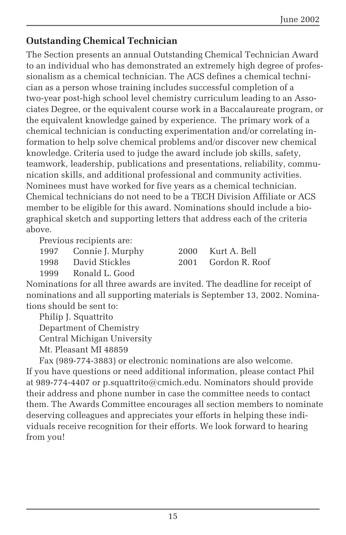### **Outstanding Chemical Technician**

The Section presents an annual Outstanding Chemical Technician Award to an individual who has demonstrated an extremely high degree of professionalism as a chemical technician. The ACS defines a chemical technician as a person whose training includes successful completion of a two-year post-high school level chemistry curriculum leading to an Associates Degree, or the equivalent course work in a Baccalaureate program, or the equivalent knowledge gained by experience. The primary work of a chemical technician is conducting experimentation and/or correlating information to help solve chemical problems and/or discover new chemical knowledge. Criteria used to judge the award include job skills, safety, teamwork, leadership, publications and presentations, reliability, communication skills, and additional professional and community activities. Nominees must have worked for five years as a chemical technician. Chemical technicians do not need to be a TECH Division Affiliate or ACS member to be eligible for this award. Nominations should include a biographical sketch and supporting letters that address each of the criteria above.

Previous recipients are:

1997 Connie J. Murphy 2000 Kurt A. Bell

1998 David Stickles 2001 Gordon R. Roof

1999 Ronald L. Good

Nominations for all three awards are invited. The deadline for receipt of nominations and all supporting materials is September 13, 2002. Nominations should be sent to:

Philip J. Squattrito Department of Chemistry Central Michigan University Mt. Pleasant MI 48859

Fax (989-774-3883) or electronic nominations are also welcome. If you have questions or need additional information, please contact Phil at 989-774-4407 or p.squattrito@cmich.edu. Nominators should provide their address and phone number in case the committee needs to contact them. The Awards Committee encourages all section members to nominate deserving colleagues and appreciates your efforts in helping these individuals receive recognition for their efforts. We look forward to hearing from you!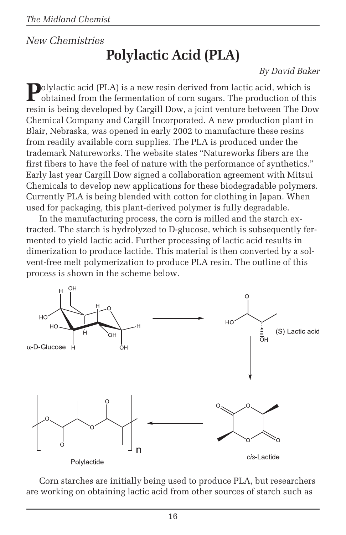## *New Chemistries* **Polylactic Acid (PLA)**

#### *By David Baker*

**Polylactic acid (PLA) is a new resin derived from lactic acid, which is** obtained from the fermentation of corn sugars. The production of this resin is being developed by Cargill Dow, a joint venture between The Dow Chemical Company and Cargill Incorporated. A new production plant in Blair, Nebraska, was opened in early 2002 to manufacture these resins from readily available corn supplies. The PLA is produced under the trademark Natureworks. The website states "Natureworks fibers are the first fibers to have the feel of nature with the performance of synthetics." Early last year Cargill Dow signed a collaboration agreement with Mitsui Chemicals to develop new applications for these biodegradable polymers. Currently PLA is being blended with cotton for clothing in Japan. When used for packaging, this plant-derived polymer is fully degradable.

In the manufacturing process, the corn is milled and the starch extracted. The starch is hydrolyzed to D-glucose, which is subsequently fermented to yield lactic acid. Further processing of lactic acid results in dimerization to produce lactide. This material is then converted by a solvent-free melt polymerization to produce PLA resin. The outline of this process is shown in the scheme below.



Corn starches are initially being used to produce PLA, but researchers are working on obtaining lactic acid from other sources of starch such as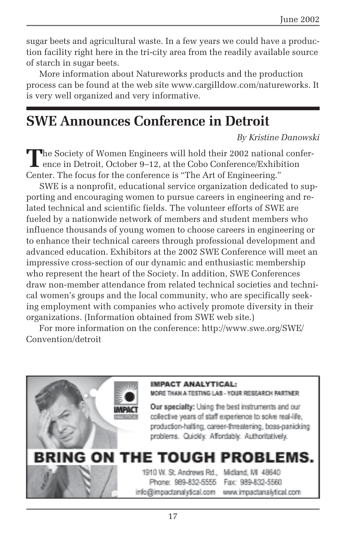sugar beets and agricultural waste. In a few years we could have a production facility right here in the tri-city area from the readily available source of starch in sugar beets.

More information about Natureworks products and the production process can be found at the web site www.cargilldow.com/natureworks. It is very well organized and very informative.

# **SWE Announces Conference in Detroit**

*By Kristine Danowski*

The Society of Women Engineers will hold their 2002 national conference in Detroit, October 9–12, at the Cobo Conference/Exhibition Center. The focus for the conference is "The Art of Engineering."

SWE is a nonprofit, educational service organization dedicated to supporting and encouraging women to pursue careers in engineering and related technical and scientific fields. The volunteer efforts of SWE are fueled by a nationwide network of members and student members who influence thousands of young women to choose careers in engineering or to enhance their technical careers through professional development and advanced education. Exhibitors at the 2002 SWE Conference will meet an impressive cross-section of our dynamic and enthusiastic membership who represent the heart of the Society. In addition, SWE Conferences draw non-member attendance from related technical societies and technical women's groups and the local community, who are specifically seeking employment with companies who actively promote diversity in their organizations. (Information obtained from SWE web site.)

For more information on the conference: http://www.swe.org/SWE/ Convention/detroit